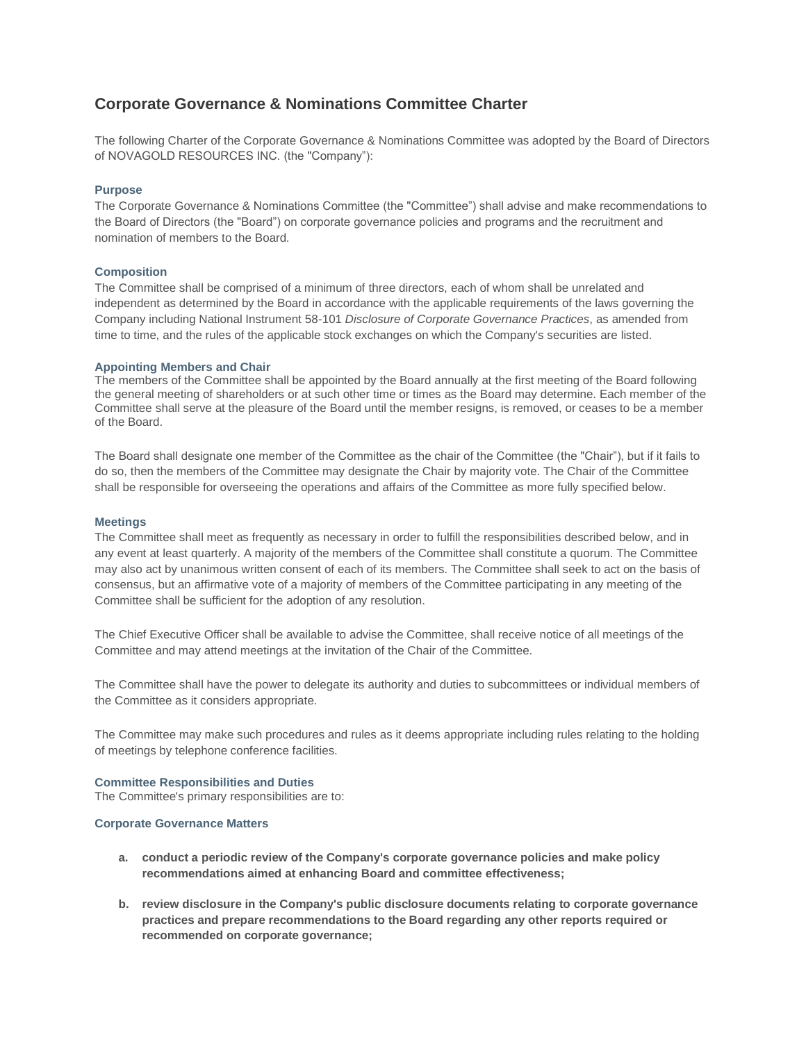# **Corporate Governance & Nominations Committee Charter**

The following Charter of the Corporate Governance & Nominations Committee was adopted by the Board of Directors of NOVAGOLD RESOURCES INC. (the "Company"):

## **Purpose**

The Corporate Governance & Nominations Committee (the "Committee") shall advise and make recommendations to the Board of Directors (the "Board") on corporate governance policies and programs and the recruitment and nomination of members to the Board.

## **Composition**

The Committee shall be comprised of a minimum of three directors, each of whom shall be unrelated and independent as determined by the Board in accordance with the applicable requirements of the laws governing the Company including National Instrument 58-101 *Disclosure of Corporate Governance Practices*, as amended from time to time, and the rules of the applicable stock exchanges on which the Company's securities are listed.

## **Appointing Members and Chair**

The members of the Committee shall be appointed by the Board annually at the first meeting of the Board following the general meeting of shareholders or at such other time or times as the Board may determine. Each member of the Committee shall serve at the pleasure of the Board until the member resigns, is removed, or ceases to be a member of the Board.

The Board shall designate one member of the Committee as the chair of the Committee (the "Chair"), but if it fails to do so, then the members of the Committee may designate the Chair by majority vote. The Chair of the Committee shall be responsible for overseeing the operations and affairs of the Committee as more fully specified below.

## **Meetings**

The Committee shall meet as frequently as necessary in order to fulfill the responsibilities described below, and in any event at least quarterly. A majority of the members of the Committee shall constitute a quorum. The Committee may also act by unanimous written consent of each of its members. The Committee shall seek to act on the basis of consensus, but an affirmative vote of a majority of members of the Committee participating in any meeting of the Committee shall be sufficient for the adoption of any resolution.

The Chief Executive Officer shall be available to advise the Committee, shall receive notice of all meetings of the Committee and may attend meetings at the invitation of the Chair of the Committee.

The Committee shall have the power to delegate its authority and duties to subcommittees or individual members of the Committee as it considers appropriate.

The Committee may make such procedures and rules as it deems appropriate including rules relating to the holding of meetings by telephone conference facilities.

#### **Committee Responsibilities and Duties**

The Committee's primary responsibilities are to:

#### **Corporate Governance Matters**

- **a. conduct a periodic review of the Company's corporate governance policies and make policy recommendations aimed at enhancing Board and committee effectiveness;**
- **b. review disclosure in the Company's public disclosure documents relating to corporate governance practices and prepare recommendations to the Board regarding any other reports required or recommended on corporate governance;**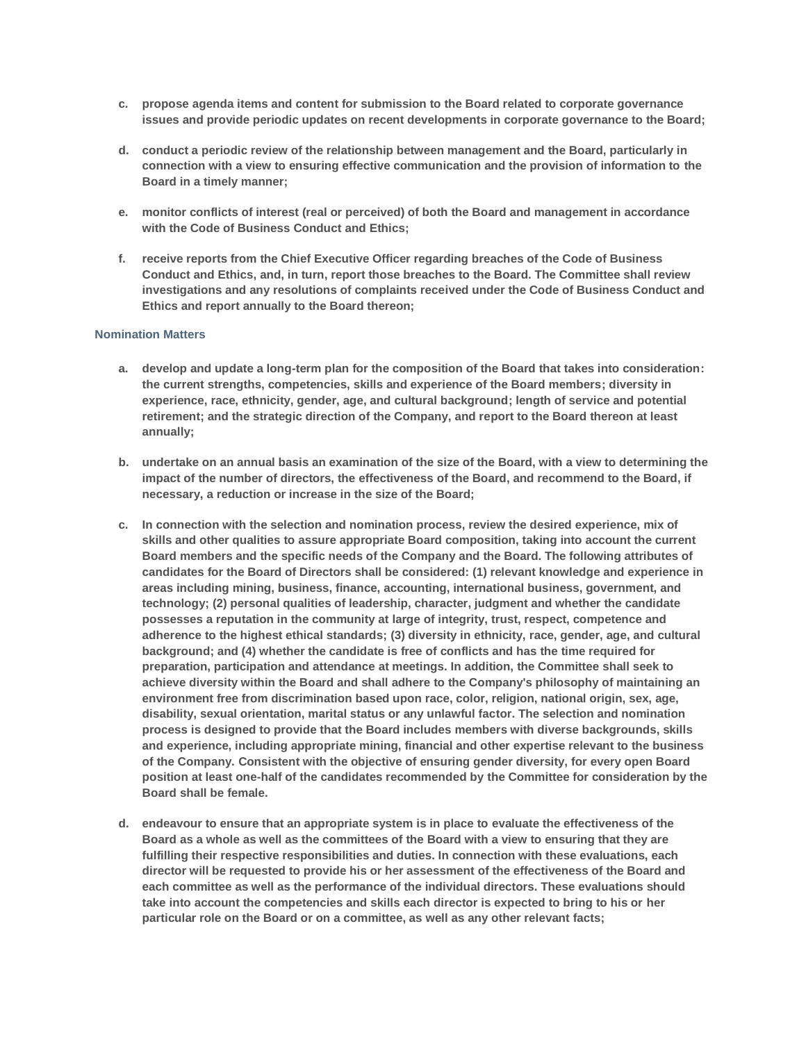- **c. propose agenda items and content for submission to the Board related to corporate governance issues and provide periodic updates on recent developments in corporate governance to the Board;**
- **d. conduct a periodic review of the relationship between management and the Board, particularly in connection with a view to ensuring effective communication and the provision of information to the Board in a timely manner;**
- **e. monitor conflicts of interest (real or perceived) of both the Board and management in accordance with the Code of Business Conduct and Ethics;**
- **f. receive reports from the Chief Executive Officer regarding breaches of the Code of Business Conduct and Ethics, and, in turn, report those breaches to the Board. The Committee shall review investigations and any resolutions of complaints received under the Code of Business Conduct and Ethics and report annually to the Board thereon;**

## **Nomination Matters**

- **a. develop and update a long-term plan for the composition of the Board that takes into consideration: the current strengths, competencies, skills and experience of the Board members; diversity in experience, race, ethnicity, gender, age, and cultural background; length of service and potential retirement; and the strategic direction of the Company, and report to the Board thereon at least annually;**
- **b. undertake on an annual basis an examination of the size of the Board, with a view to determining the impact of the number of directors, the effectiveness of the Board, and recommend to the Board, if necessary, a reduction or increase in the size of the Board;**
- **c. In connection with the selection and nomination process, review the desired experience, mix of skills and other qualities to assure appropriate Board composition, taking into account the current Board members and the specific needs of the Company and the Board. The following attributes of candidates for the Board of Directors shall be considered: (1) relevant knowledge and experience in areas including mining, business, finance, accounting, international business, government, and technology; (2) personal qualities of leadership, character, judgment and whether the candidate possesses a reputation in the community at large of integrity, trust, respect, competence and adherence to the highest ethical standards; (3) diversity in ethnicity, race, gender, age, and cultural background; and (4) whether the candidate is free of conflicts and has the time required for preparation, participation and attendance at meetings. In addition, the Committee shall seek to achieve diversity within the Board and shall adhere to the Company's philosophy of maintaining an environment free from discrimination based upon race, color, religion, national origin, sex, age, disability, sexual orientation, marital status or any unlawful factor. The selection and nomination process is designed to provide that the Board includes members with diverse backgrounds, skills and experience, including appropriate mining, financial and other expertise relevant to the business of the Company. Consistent with the objective of ensuring gender diversity, for every open Board position at least one-half of the candidates recommended by the Committee for consideration by the Board shall be female.**
- **d. endeavour to ensure that an appropriate system is in place to evaluate the effectiveness of the Board as a whole as well as the committees of the Board with a view to ensuring that they are fulfilling their respective responsibilities and duties. In connection with these evaluations, each director will be requested to provide his or her assessment of the effectiveness of the Board and each committee as well as the performance of the individual directors. These evaluations should take into account the competencies and skills each director is expected to bring to his or her particular role on the Board or on a committee, as well as any other relevant facts;**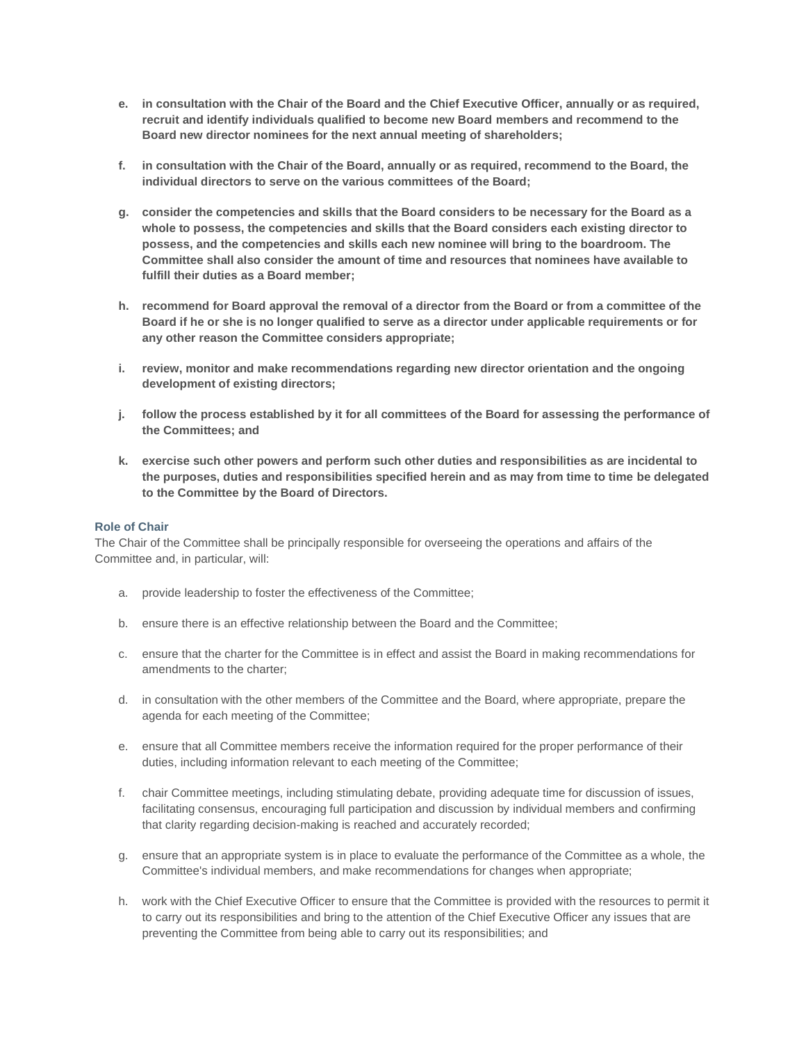- **e. in consultation with the Chair of the Board and the Chief Executive Officer, annually or as required, recruit and identify individuals qualified to become new Board members and recommend to the Board new director nominees for the next annual meeting of shareholders;**
- **f. in consultation with the Chair of the Board, annually or as required, recommend to the Board, the individual directors to serve on the various committees of the Board;**
- **g. consider the competencies and skills that the Board considers to be necessary for the Board as a whole to possess, the competencies and skills that the Board considers each existing director to possess, and the competencies and skills each new nominee will bring to the boardroom. The Committee shall also consider the amount of time and resources that nominees have available to fulfill their duties as a Board member;**
- **h. recommend for Board approval the removal of a director from the Board or from a committee of the Board if he or she is no longer qualified to serve as a director under applicable requirements or for any other reason the Committee considers appropriate;**
- **i. review, monitor and make recommendations regarding new director orientation and the ongoing development of existing directors;**
- **j. follow the process established by it for all committees of the Board for assessing the performance of the Committees; and**
- **k. exercise such other powers and perform such other duties and responsibilities as are incidental to the purposes, duties and responsibilities specified herein and as may from time to time be delegated to the Committee by the Board of Directors.**

## **Role of Chair**

The Chair of the Committee shall be principally responsible for overseeing the operations and affairs of the Committee and, in particular, will:

- a. provide leadership to foster the effectiveness of the Committee;
- b. ensure there is an effective relationship between the Board and the Committee;
- c. ensure that the charter for the Committee is in effect and assist the Board in making recommendations for amendments to the charter;
- d. in consultation with the other members of the Committee and the Board, where appropriate, prepare the agenda for each meeting of the Committee;
- e. ensure that all Committee members receive the information required for the proper performance of their duties, including information relevant to each meeting of the Committee;
- f. chair Committee meetings, including stimulating debate, providing adequate time for discussion of issues, facilitating consensus, encouraging full participation and discussion by individual members and confirming that clarity regarding decision-making is reached and accurately recorded;
- g. ensure that an appropriate system is in place to evaluate the performance of the Committee as a whole, the Committee's individual members, and make recommendations for changes when appropriate;
- h. work with the Chief Executive Officer to ensure that the Committee is provided with the resources to permit it to carry out its responsibilities and bring to the attention of the Chief Executive Officer any issues that are preventing the Committee from being able to carry out its responsibilities; and